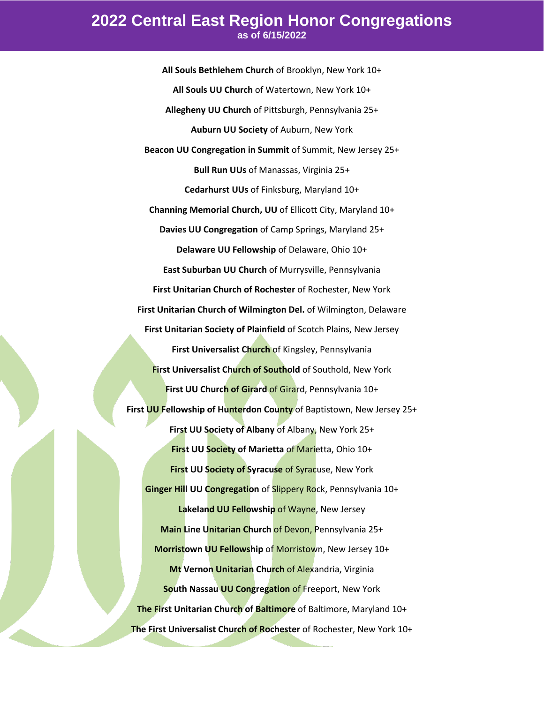## **2022 Central East Region Honor Congregations as of 6/15/2022**

**All Souls Bethlehem Church** of Brooklyn, New York 10+ **All Souls UU Church** of Watertown, New York 10+ **Allegheny UU Church** of Pittsburgh, Pennsylvania 25+ **Auburn UU Society** of Auburn, New York **Beacon UU Congregation in Summit** of Summit, New Jersey 25+ **Bull Run UUs** of Manassas, Virginia 25+ **Cedarhurst UUs** of Finksburg, Maryland 10+ **Channing Memorial Church, UU** of Ellicott City, Maryland 10+ **Davies UU Congregation** of Camp Springs, Maryland 25+ **Delaware UU Fellowship** of Delaware, Ohio 10+ **East Suburban UU Church** of Murrysville, Pennsylvania **First Unitarian Church of Rochester** of Rochester, New York **First Unitarian Church of Wilmington Del.** of Wilmington, Delaware **First Unitarian Society of Plainfield** of Scotch Plains, New Jersey **First Universalist Church** of Kingsley, Pennsylvania **First Universalist Church of Southold** of Southold, New York **First UU Church of Girard** of Girard, Pennsylvania 10+ **First UU Fellowship of Hunterdon County** of Baptistown, New Jersey 25+ **First UU Society of Albany** of Albany, New York 25+ **First UU Society of Marietta** of Marietta, Ohio 10+ **First UU Society of Syracuse** of Syracuse, New York **Ginger Hill UU Congregation** of Slippery Rock, Pennsylvania 10+ **Lakeland UU Fellowship** of Wayne, New Jersey **Main Line Unitarian Church** of Devon, Pennsylvania 25+ **Morristown UU Fellowship** of Morristown, New Jersey 10+ **Mt Vernon Unitarian Church of Alexandria, Virginia South Nassau UU Congregation** of Freeport, New York **The First Unitarian Church of Baltimore** of Baltimore, Maryland 10+ **The First Universalist Church of Rochester** of Rochester, New York 10+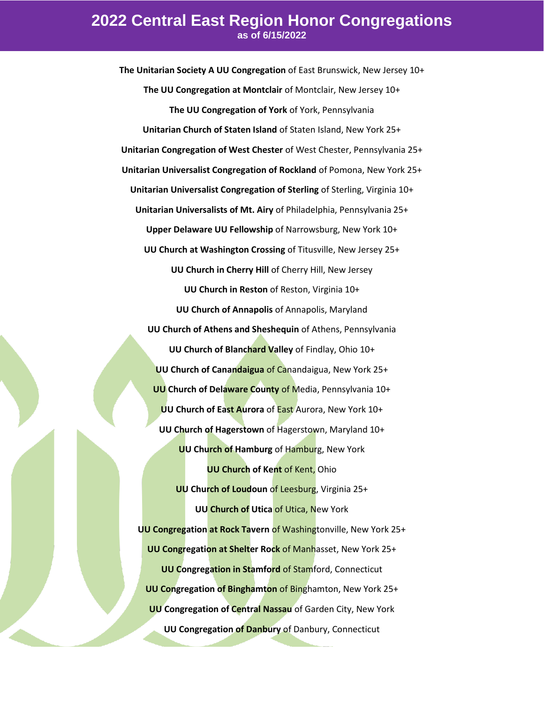## **2022 Central East Region Honor Congregations as of 6/15/2022**

**The Unitarian Society A UU Congregation** of East Brunswick, New Jersey 10+ **The UU Congregation at Montclair** of Montclair, New Jersey 10+ **The UU Congregation of York** of York, Pennsylvania **Unitarian Church of Staten Island** of Staten Island, New York 25+ **Unitarian Congregation of West Chester** of West Chester, Pennsylvania 25+ **Unitarian Universalist Congregation of Rockland** of Pomona, New York 25+ **Unitarian Universalist Congregation of Sterling** of Sterling, Virginia 10+ **Unitarian Universalists of Mt. Airy** of Philadelphia, Pennsylvania 25+ **Upper Delaware UU Fellowship** of Narrowsburg, New York 10+ **UU Church at Washington Crossing** of Titusville, New Jersey 25+ **UU Church in Cherry Hill** of Cherry Hill, New Jersey **UU Church in Reston** of Reston, Virginia 10+ **UU Church of Annapolis** of Annapolis, Maryland **UU Church of Athens and Sheshequin** of Athens, Pennsylvania **UU Church of Blanchard Valley** of Findlay, Ohio 10+ **UU Church of Canandaigua** of Canandaigua, New York 25+ **UU Church of Delaware County** of Media, Pennsylvania 10+ **UU Church of East Aurora** of East Aurora, New York 10+ **UU Church of Hagerstown** of Hagerstown, Maryland 10+ **UU Church of Hamburg** of Hamburg, New York **UU Church of Kent** of Kent, Ohio **UU Church of Loudoun** of Leesburg, Virginia 25+ **UU Church of Utica** of Utica, New York **UU Congregation at Rock Tavern** of Washingtonville, New York 25+ **UU Congregation at Shelter Rock** of Manhasset, New York 25+ **UU Congregation in Stamford** of Stamford, Connecticut **UU Congregation of Binghamton** of Binghamton, New York 25+ **UU Congregation of Central Nassau** of Garden City, New York **UU Congregation of Danbury** of Danbury, Connecticut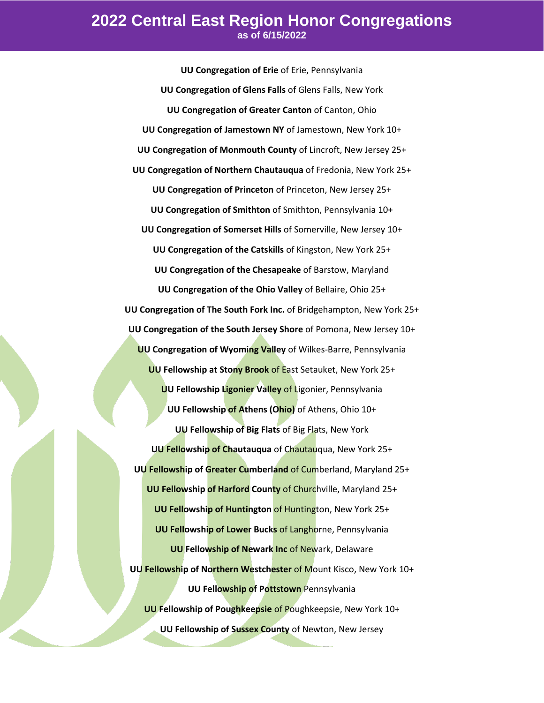**UU Congregation of Erie** of Erie, Pennsylvania **UU Congregation of Glens Falls** of Glens Falls, New York **UU Congregation of Greater Canton** of Canton, Ohio **UU Congregation of Jamestown NY** of Jamestown, New York 10+ **UU Congregation of Monmouth County** of Lincroft, New Jersey 25+ **UU Congregation of Northern Chautauqua** of Fredonia, New York 25+ **UU Congregation of Princeton** of Princeton, New Jersey 25+ **UU Congregation of Smithton** of Smithton, Pennsylvania 10+ **UU Congregation of Somerset Hills** of Somerville, New Jersey 10+ **UU Congregation of the Catskills** of Kingston, New York 25+ **UU Congregation of the Chesapeake** of Barstow, Maryland **UU Congregation of the Ohio Valley** of Bellaire, Ohio 25+ **UU Congregation of The South Fork Inc.** of Bridgehampton, New York 25+ **UU Congregation of the South Jersey Shore** of Pomona, New Jersey 10+ **UU Congregation of Wyoming Valley** of Wilkes-Barre, Pennsylvania **UU Fellowship at Stony Brook** of East Setauket, New York 25+ **UU Fellowship Ligonier Valley of Ligonier, Pennsylvania UU Fellowship of Athens (Ohio)** of Athens, Ohio 10+ **UU Fellowship of Big Flats** of Big Flats, New York **UU Fellowship of Chautauqua** of Chautauqua, New York 25+ **UU Fellowship of Greater Cumberland** of Cumberland, Maryland 25+ **UU Fellowship of Harford County** of Churchville, Maryland 25+ **UU Fellowship of Huntington** of Huntington, New York 25+ **UU Fellowship of Lower Bucks** of Langhorne, Pennsylvania **UU Fellowship of Newark Inc** of Newark, Delaware **UU Fellowship of Northern Westchester** of Mount Kisco, New York 10+ **UU Fellowship of Pottstown** Pennsylvania **UU Fellowship of Poughkeepsie** of Poughkeepsie, New York 10+ **UU Fellowship of Sussex County** of Newton, New Jersey